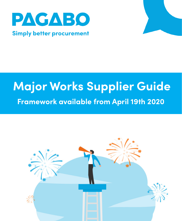

# **Major Works Supplier Guide Framework available from April 19th 2020**

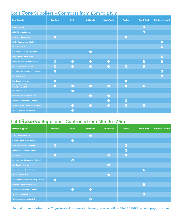# Lot 1 **Core** Suppliers - Contracts from £5m to £15m

| <b>Core Supplier</b>                                                | <b>Scotland</b> | <b>North</b> | <b>Midlands</b> | <b>South West</b> | <b>Wales</b> | <b>South East</b> | <b>Northern Ireland</b> |
|---------------------------------------------------------------------|-----------------|--------------|-----------------|-------------------|--------------|-------------------|-------------------------|
| <b>AMCM Group</b>                                                   |                 |              |                 |                   |              | $\bullet$         |                         |
| <b>Ashe Construction Ltd</b>                                        |                 |              |                 |                   |              | $\bullet$         |                         |
| <b>Bowmer + Kirkland Ltd</b>                                        | $\bullet$       |              |                 |                   | $\bullet$    |                   |                         |
| <b>ENGIE Regeneration Limited</b>                                   |                 |              |                 |                   |              |                   | $\bullet$               |
| FP McCann Ltd                                                       |                 |              |                 |                   |              |                   | $\bullet$               |
| <b>G F Tomlinson Building Limited</b>                               |                 |              | $\bullet$       |                   |              |                   |                         |
| <b>H &amp; J Martin Construction</b>                                |                 |              |                 |                   |              |                   | $\bullet$               |
| <b>Henry Brothers Midlands Limited</b>                              | $\bullet$       | $\bullet$    | $\bullet$       | $\bullet$         |              | $\bullet$         | $\bullet$               |
| <b>ISG Construction Limited</b>                                     | $\bullet$       | $\bullet$    | $\bullet$       | $\bullet$         | $\bullet$    | $\bullet$         |                         |
| <b>John Graham Construction Limited</b>                             | $\bullet$       |              |                 |                   |              |                   | $\bullet$               |
| John Sisk & Son                                                     |                 |              |                 |                   |              |                   | $\bullet$               |
| <b>Kier Construction Ltd</b>                                        | $\bullet$       |              |                 |                   | $\bullet$    |                   |                         |
| <b>Morgan Sindall Construction and</b><br><b>Infrastructure Ltd</b> | $\bullet$       | $\bullet$    | $\bullet$       | ◙                 | ◙            | $\bullet$         |                         |
| <b>Sir Robert McAlpine Ltd</b>                                      |                 | $\bullet$    |                 |                   |              |                   |                         |
| <b>Skanska Construction UK Ltd</b>                                  |                 |              | $\bullet$       | $\bullet$         |              |                   |                         |
| <b>VINCI Construction UK Limited</b>                                |                 |              |                 | $\bullet$         | $\bullet$    |                   |                         |
| <b>Willmott Dixon Construction Limited</b>                          |                 | ◙            | $\bullet$       | $\bullet$         | Ø            | $\bullet$         |                         |
| <b>Wildgoose Construction Ltd</b>                                   |                 | ◙            |                 |                   |              |                   |                         |

#### Lot 1 **Reserve** Suppliers - Contracts from £5m to £15m

| <b>Reserve Supplier</b>                     | <b>Scotland</b> | <b>North</b> | <b>Midlands</b> | <b>South West</b> | <b>Wales</b> | <b>South East</b> | <b>Northern Ireland</b> |
|---------------------------------------------|-----------------|--------------|-----------------|-------------------|--------------|-------------------|-------------------------|
| <b>Ashe Construction Ltd</b>                |                 |              | $\bullet$       |                   |              |                   |                         |
| <b>Conlon Construction Limited</b>          |                 | $\bullet$    |                 |                   |              |                   |                         |
| <b>ENGIE Regeneration Limited</b>           | $\bullet$       |              |                 |                   | ◙            |                   |                         |
| <b>Galliford Try Building Limited</b>       |                 |              |                 |                   | $\bullet$    |                   |                         |
| Interserve                                  | $\bullet$       |              |                 | $\bullet$         | $\bullet$    |                   |                         |
| John Graham Construction Limited            |                 | ◙            |                 |                   |              |                   |                         |
| <b>Kier Construction Ltd</b>                |                 |              |                 | $\bullet$         |              |                   |                         |
| <b>Logan Construction (SE) Ltd</b>          |                 |              |                 |                   |              | $\bullet$         |                         |
| <b>Midas Construction</b>                   |                 |              |                 | $\bullet$         |              |                   |                         |
| <b>Robertson Construction Group Limited</b> | $\bullet$       |              |                 |                   |              |                   |                         |
| <b>Skanska Construction UK Ltd</b>          |                 |              |                 |                   |              | $\bullet$         |                         |
| <b>VINCI Construction UK Limited</b>        |                 | $\bullet$    | $\bullet$       |                   |              |                   |                         |
| <b>Wates Construction Ltd</b>               |                 |              |                 |                   |              | $\bullet$         |                         |
| <b>Wildgoose Construction Ltd</b>           |                 |              | $\checkmark$    |                   |              |                   |                         |

**To find out more about the Major Works Framework, please give us a call on 01482 975883 or visit pagabo.co.uk**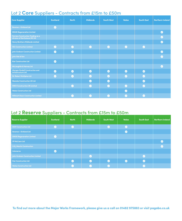# Lot 2 **Core** Suppliers - Contracts from £15m to £50m

| <b>Core Supplier</b>                                                 | <b>Scotland</b> | <b>North</b> | <b>Midlands</b> | <b>South West</b> | <b>Wales</b> | <b>South East</b> | <b>Northern Ireland</b> |
|----------------------------------------------------------------------|-----------------|--------------|-----------------|-------------------|--------------|-------------------|-------------------------|
| <b>Bowmer + Kirkland Ltd</b>                                         | $\bullet$       |              |                 |                   |              |                   |                         |
| <b>ENGIE Regeneration Limited</b>                                    |                 |              |                 |                   |              |                   | $\bullet$               |
| Farrans Construction Trading as a<br>division of Northstone (NI) Itd |                 |              |                 |                   |              |                   | $\bullet$               |
| <b>Henry Brothers Midlands Limited</b>                               |                 |              |                 |                   |              |                   | $\bullet$               |
| <b>ISG Construction Limited</b>                                      | $\bullet$       | ◙            | $\bullet$       | $\bullet$         | ◙            | $\bullet$         |                         |
| <b>John Graham Construction Limited</b>                              | $\bullet$       | $\bullet$    |                 |                   |              |                   | $\bullet$               |
| John Sisk & Son                                                      |                 |              |                 |                   |              |                   | $\bullet$               |
| <b>Kier Construction Ltd</b>                                         | $\bullet$       |              |                 |                   |              |                   |                         |
| <b>McLaughlin &amp; Harvey Ltd</b>                                   |                 |              |                 |                   |              |                   | $\bullet$               |
| <b>Morgan Sindall Construction and</b><br><b>Infrastructure Ltd</b>  | $\bullet$       | $\bullet$    | $\bullet$       | $\bullet$         | $\bullet$    | $\bullet$         |                         |
| <b>Sir Robert McAlpine Ltd</b>                                       | $\bullet$       | $\bullet$    | $\bullet$       | $\bullet$         | $\bullet$    | $\bullet$         |                         |
| <b>Skanska Construction UK Ltd</b>                                   |                 |              | $\bullet$       | $\bullet$         |              | $\bullet$         |                         |
| <b>VINCI Construction UK Limited</b>                                 |                 | $\bullet$    | $\bullet$       | $\bullet$         | ◙            | $\bullet$         |                         |
| <b>Wates Construction Ltd</b>                                        |                 |              |                 |                   | $\bullet$    |                   |                         |
| <b>Willmott Dixon Construction Limited</b>                           |                 | $\bullet$    | $\bullet$       | ◙                 | ◙            | ◙                 |                         |

#### Lot 2 **Reserve** Suppliers - Contracts from £15m to £50m

| <b>Reserve Supplier</b>                 | <b>Scotland</b> | <b>North</b> | <b>Midlands</b> | South West   | <b>Wales</b> | <b>South East</b> | <b>Northern Ireland</b> |
|-----------------------------------------|-----------------|--------------|-----------------|--------------|--------------|-------------------|-------------------------|
| <b>BAM Construction Ltd</b>             | $\bullet$       | $\bullet$    |                 | ◙            | ◙            |                   |                         |
| <b>Bowmer + Kirkland Ltd</b>            |                 |              |                 |              | ◙            |                   |                         |
| <b>ENGIE Regeneration Limited</b>       | $\bullet$       |              |                 |              |              |                   |                         |
| FP McCann Ltd                           |                 |              |                 |              |              |                   | $\bullet$               |
| <b>H &amp; J Martin Construction</b>    |                 |              |                 |              |              |                   | $\bullet$               |
| Interserve                              | $\bullet$       |              |                 |              |              |                   |                         |
| <b>John Graham Construction Limited</b> |                 |              | $\bm{\circ}$    |              |              | $\bullet$         |                         |
| <b>Kier Construction Ltd</b>            |                 | $\bullet$    | $\bullet$       | $\bullet$    | $\bullet$    | $\bullet$         |                         |
| <b>Wates Construction Ltd</b>           |                 |              |                 | $\mathcal Q$ |              | $\sim$            |                         |